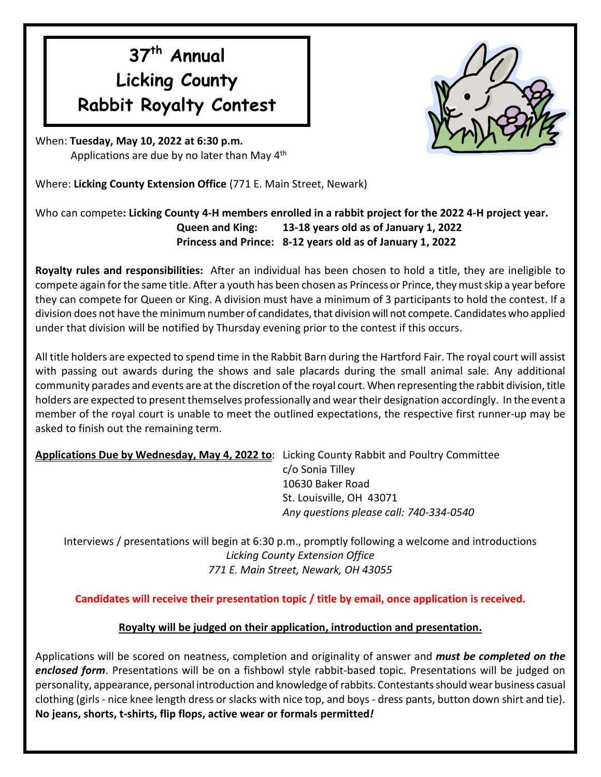## **37 th Annual Licking County Rabbit Royalty Contest**

When: **Tuesday, May 10, 2022 at 6:30 p.m.** Applications are due by no later than May 4<sup>th</sup>

Where: **Licking County Extension Office** (771 E. Main Street, Newark)

## Who can compete**: Licking County 4-H members enrolled in a rabbit project for the 2022 4-H project year. Queen and King: 13-18 years old as of January 1, 2022 Princess and Prince: 8-12 years old as of January 1, 2022**

**Royalty rules and responsibilities:** After an individual has been chosen to hold a title, they are ineligible to compete again for the same title. After a youth has been chosen as Princess or Prince, they must skip a year before they can compete for Queen or King. A division must have a minimum of 3 participants to hold the contest. If a division does not have the minimum number of candidates, that division will not compete. Candidates who applied under that division will be notified by Thursday evening prior to the contest if this occurs.

All title holders are expected to spend time in the Rabbit Barn during the Hartford Fair. The royal court will assist with passing out awards during the shows and sale placards during the small animal sale. Any additional community parades and events are at the discretion of the royal court.When representing the rabbit division, title holders are expected to present themselves professionally and wear their designation accordingly. In the event a member of the royal court is unable to meet the outlined expectations, the respective first runner-up may be asked to finish out the remaining term.

**Applications Due by Wednesday, May 4, 2022 to**: Licking County Rabbit and Poultry Committee

c/o Sonia Tilley 10630 Baker Road St. Louisville, OH 43071 *Any questions please call: 740-334-0540*

Interviews / presentations will begin at 6:30 p.m., promptly following a welcome and introductions *Licking County Extension Office 771 E. Main Street, Newark, OH 43055*

**Candidates will receive their presentation topic / title by email, once application is received.**

## **Royalty will be judged on their application, introduction and presentation.**

Applications will be scored on neatness, completion and originality of answer and *must be completed on the enclosed form*. Presentations will be on a fishbowl style rabbit-based topic. Presentations will be judged on personality, appearance, personal introduction and knowledge of rabbits. Contestants should wear business casual clothing (girls - nice knee length dress or slacks with nice top, and boys - dress pants, button down shirt and tie). **No jeans, shorts, t-shirts, flip flops, active wear or formals permitted***!*